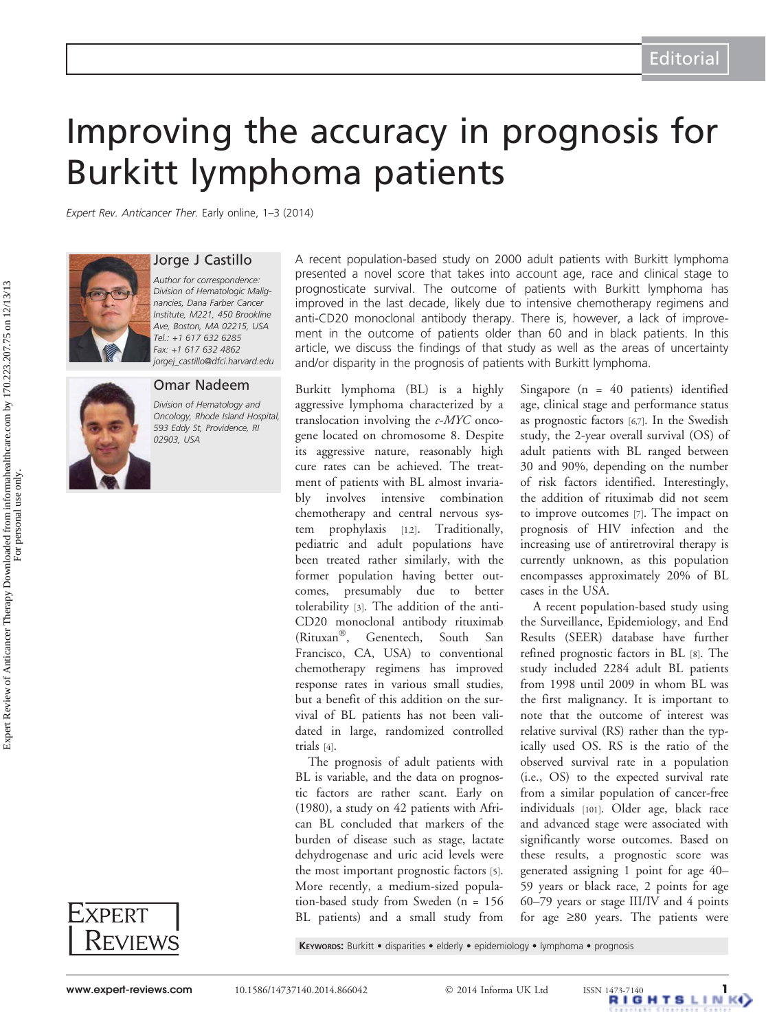# Improving the accuracy in prognosis for Burkitt lymphoma patients

Expert Rev. Anticancer Ther. Early online, 1–3 (2014)



# Jorge J Castillo

Author for correspondence: Division of Hematologic Malignancies, Dana Farber Cancer Institute, M221, 450 Brookline Ave, Boston, MA 02215, USA Tel.: +1 617 632 6285 Fax: +1 617 632 4862 jorgej\_castillo@dfci.harvard.edu

## Omar Nadeem



Division of Hematology and Oncology, Rhode Island Hospital, 593 Eddy St, Providence, RI 02903, USA

EXPERT REVIEWS

A recent population-based study on 2000 adult patients with Burkitt lymphoma presented a novel score that takes into account age, race and clinical stage to prognosticate survival. The outcome of patients with Burkitt lymphoma has improved in the last decade, likely due to intensive chemotherapy regimens and anti-CD20 monoclonal antibody therapy. There is, however, a lack of improvement in the outcome of patients older than 60 and in black patients. In this article, we discuss the findings of that study as well as the areas of uncertainty and/or disparity in the prognosis of patients with Burkitt lymphoma.

Burkitt lymphoma (BL) is a highly aggressive lymphoma characterized by a translocation involving the c-MYC oncogene located on chromosome 8. Despite its aggressive nature, reasonably high cure rates can be achieved. The treatment of patients with BL almost invariably involves intensive combination chemotherapy and central nervous system prophylaxis [\[1](#page-2-0),[2](#page-2-0)]. Traditionally, pediatric and adult populations have been treated rather similarly, with the former population having better outcomes, presumably due to better tolerability [[3](#page-2-0)]. The addition of the anti-CD20 monoclonal antibody rituximab (Rituxan®, Genentech, South San Francisco, CA, USA) to conventional chemotherapy regimens has improved response rates in various small studies, but a benefit of this addition on the survival of BL patients has not been validated in large, randomized controlled trials [\[4\]](#page-2-0).

The prognosis of adult patients with BL is variable, and the data on prognostic factors are rather scant. Early on (1980), a study on 42 patients with African BL concluded that markers of the burden of disease such as stage, lactate dehydrogenase and uric acid levels were the most important prognostic factors [[5](#page-2-0)]. More recently, a medium-sized population-based study from Sweden (n = 156 BL patients) and a small study from

Singapore (n = 40 patients) identified age, clinical stage and performance status as prognostic factors [\[6](#page-2-0),[7](#page-2-0)]. In the Swedish study, the 2-year overall survival (OS) of adult patients with BL ranged between 30 and 90%, depending on the number of risk factors identified. Interestingly, the addition of rituximab did not seem to improve outcomes [\[7](#page-2-0)]. The impact on prognosis of HIV infection and the increasing use of antiretroviral therapy is currently unknown, as this population encompasses approximately 20% of BL cases in the USA.

A recent population-based study using the Surveillance, Epidemiology, and End Results (SEER) database have further refined prognostic factors in BL [[8\]](#page-2-0). The study included 2284 adult BL patients from 1998 until 2009 in whom BL was the first malignancy. It is important to note that the outcome of interest was relative survival (RS) rather than the typically used OS. RS is the ratio of the observed survival rate in a population (i.e., OS) to the expected survival rate from a similar population of cancer-free individuals [[101\]](#page-2-0). Older age, black race and advanced stage were associated with significantly worse outcomes. Based on these results, a prognostic score was generated assigning 1 point for age 40– 59 years or black race, 2 points for age 60–79 years or stage III/IV and 4 points for age  $\geq 80$  years. The patients were

KEYWORDS: Burkitt • disparities • elderly • epidemiology • lymphoma • prognosis

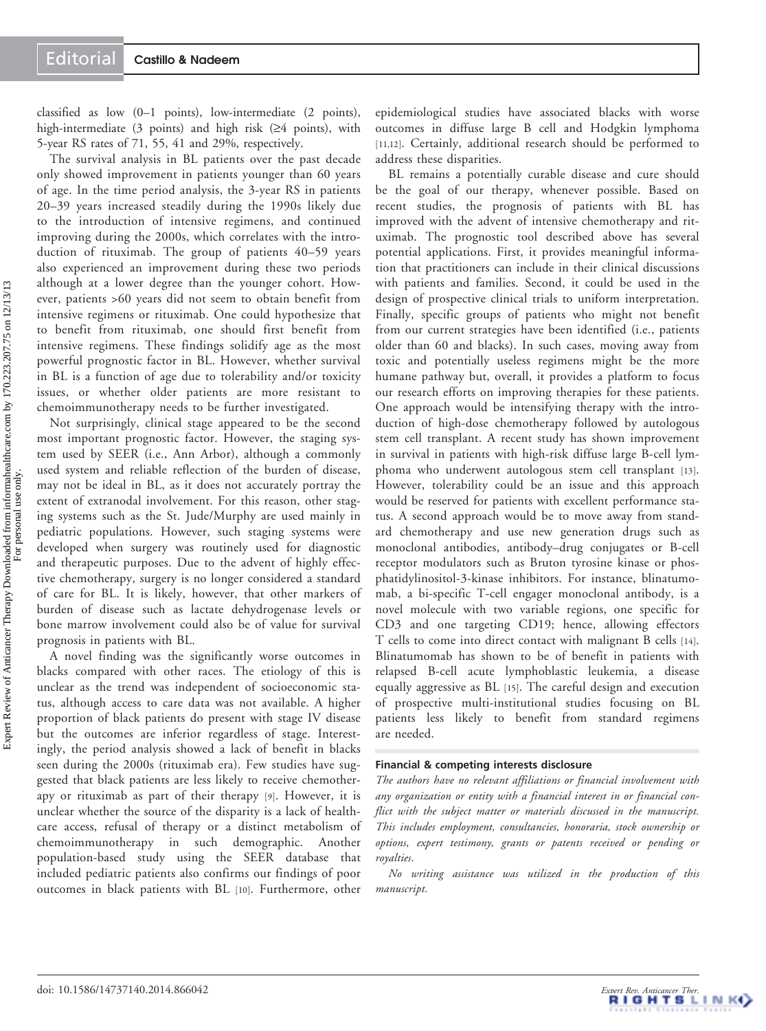classified as low (0–1 points), low-intermediate (2 points), high-intermediate (3 points) and high risk  $(≥4$  points), with 5-year RS rates of 71, 55, 41 and 29%, respectively.

The survival analysis in BL patients over the past decade only showed improvement in patients younger than 60 years of age. In the time period analysis, the 3-year RS in patients 20–39 years increased steadily during the 1990s likely due to the introduction of intensive regimens, and continued improving during the 2000s, which correlates with the introduction of rituximab. The group of patients 40–59 years also experienced an improvement during these two periods although at a lower degree than the younger cohort. However, patients >60 years did not seem to obtain benefit from intensive regimens or rituximab. One could hypothesize that to benefit from rituximab, one should first benefit from intensive regimens. These findings solidify age as the most powerful prognostic factor in BL. However, whether survival in BL is a function of age due to tolerability and/or toxicity issues, or whether older patients are more resistant to chemoimmunotherapy needs to be further investigated.

Not surprisingly, clinical stage appeared to be the second most important prognostic factor. However, the staging system used by SEER (i.e., Ann Arbor), although a commonly used system and reliable reflection of the burden of disease, may not be ideal in BL, as it does not accurately portray the extent of extranodal involvement. For this reason, other staging systems such as the St. Jude/Murphy are used mainly in pediatric populations. However, such staging systems were developed when surgery was routinely used for diagnostic and therapeutic purposes. Due to the advent of highly effective chemotherapy, surgery is no longer considered a standard of care for BL. It is likely, however, that other markers of burden of disease such as lactate dehydrogenase levels or bone marrow involvement could also be of value for survival prognosis in patients with BL.

A novel finding was the significantly worse outcomes in blacks compared with other races. The etiology of this is unclear as the trend was independent of socioeconomic status, although access to care data was not available. A higher proportion of black patients do present with stage IV disease but the outcomes are inferior regardless of stage. Interestingly, the period analysis showed a lack of benefit in blacks seen during the 2000s (rituximab era). Few studies have suggested that black patients are less likely to receive chemotherapy or rituximab as part of their therapy [\[9\]](#page-2-0). However, it is unclear whether the source of the disparity is a lack of healthcare access, refusal of therapy or a distinct metabolism of chemoimmunotherapy in such demographic. Another population-based study using the SEER database that included pediatric patients also confirms our findings of poor outcomes in black patients with BL [[10](#page-2-0)]. Furthermore, other

epidemiological studies have associated blacks with worse outcomes in diffuse large B cell and Hodgkin lymphoma [[11](#page-2-0),[12\]](#page-2-0). Certainly, additional research should be performed to address these disparities.

BL remains a potentially curable disease and cure should be the goal of our therapy, whenever possible. Based on recent studies, the prognosis of patients with BL has improved with the advent of intensive chemotherapy and rituximab. The prognostic tool described above has several potential applications. First, it provides meaningful information that practitioners can include in their clinical discussions with patients and families. Second, it could be used in the design of prospective clinical trials to uniform interpretation. Finally, specific groups of patients who might not benefit from our current strategies have been identified (i.e., patients older than 60 and blacks). In such cases, moving away from toxic and potentially useless regimens might be the more humane pathway but, overall, it provides a platform to focus our research efforts on improving therapies for these patients. One approach would be intensifying therapy with the introduction of high-dose chemotherapy followed by autologous stem cell transplant. A recent study has shown improvement in survival in patients with high-risk diffuse large B-cell lymphoma who underwent autologous stem cell transplant [[13\]](#page-2-0). However, tolerability could be an issue and this approach would be reserved for patients with excellent performance status. A second approach would be to move away from standard chemotherapy and use new generation drugs such as monoclonal antibodies, antibody–drug conjugates or B-cell receptor modulators such as Bruton tyrosine kinase or phosphatidylinositol-3-kinase inhibitors. For instance, blinatumomab, a bi-specific T-cell engager monoclonal antibody, is a novel molecule with two variable regions, one specific for CD3 and one targeting CD19; hence, allowing effectors T cells to come into direct contact with malignant B cells [[14\]](#page-2-0). Blinatumomab has shown to be of benefit in patients with relapsed B-cell acute lymphoblastic leukemia, a disease equally aggressive as BL [[15](#page-2-0)]. The careful design and execution of prospective multi-institutional studies focusing on BL patients less likely to benefit from standard regimens are needed.

#### Financial & competing interests disclosure

The authors have no relevant affiliations or financial involvement with any organization or entity with a financial interest in or financial conflict with the subject matter or materials discussed in the manuscript. This includes employment, consultancies, honoraria, stock ownership or options, expert testimony, grants or patents received or pending or royalties.

No writing assistance was utilized in the production of this manuscript.